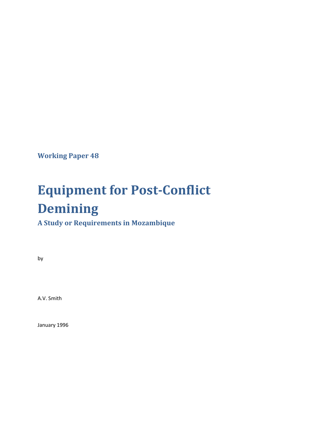**Working Paper 48**

# **Equipment for Post-Conflict Demining**

## **A Study or Requirements in Mozambique**

by

A.V. Smith

January 1996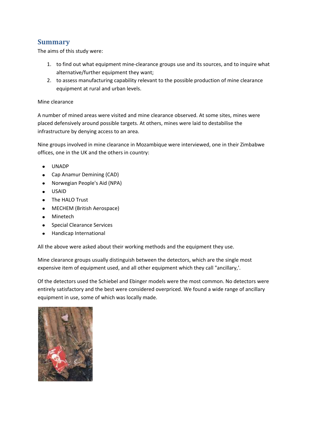### **Summary**

The aims of this study were:

- 1. to find out what equipment mine-clearance groups use and its sources, and to inquire what alternative/further equipment they want;
- 2. to assess manufacturing capability relevant to the possible production of mine clearance equipment at rural and urban levels.

#### Mine clearance

A number of mined areas were visited and mine clearance observed. At some sites, mines were placed defensively around possible targets. At others, mines were laid to destabilise the infrastructure by denying access to an area.

Nine groups involved in mine clearance in Mozambique were interviewed, one in their Zimbabwe offices, one in the UK and the others in country:

- UNADP
- Cap Anamur Demining (CAD)
- Norwegian People's Aid (NPA)
- USAID  $\bullet$
- The HALO Trust
- MECHEM (British Aerospace)
- Minetech
- Special Clearance Services
- Handicap International

All the above were asked about their working methods and the equipment they use.

Mine clearance groups usually distinguish between the detectors, which are the single most expensive item of equipment used, and all other equipment which they call "ancillary,'.

Of the detectors used the Schiebel and Ebinger models were the most common. No detectors were entirely satisfactory and the best were considered overpriced. We found a wide range of ancillary equipment in use, some of which was locally made.

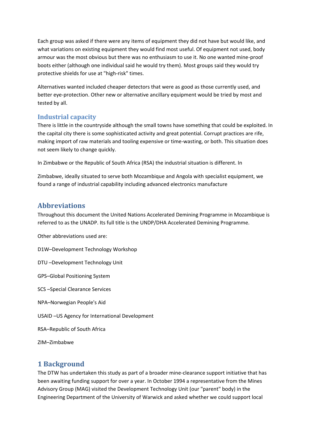Each group was asked if there were any items of equipment they did not have but would like, and what variations on existing equipment they would find most useful. Of equipment not used, body armour was the most obvious but there was no enthusiasm to use it. No one wanted mine-proof boots either (although one individual said he would try them). Most groups said they would try protective shields for use at "high-risk" times.

Alternatives wanted included cheaper detectors that were as good as those currently used, and better eye-protection. Other new or alternative ancillary equipment would be tried by most and tested by all.

### **Industrial capacity**

There is little in the countryside although the small towns have something that could be exploited. In the capital city there is some sophisticated activity and great potential. Corrupt practices are rife, making import of raw materials and tooling expensive or time-wasting, or both. This situation does not seem likely to change quickly.

In Zimbabwe or the Republic of South Africa (RSA) the industrial situation is different. In

Zimbabwe, ideally situated to serve both Mozambique and Angola with specialist equipment, we found a range of industrial capability including advanced electronics manufacture

### **Abbreviations**

Throughout this document the United Nations Accelerated Demining Programme in Mozambique is referred to as the UNADP. Its full title is the UNDP/DHA Accelerated Demining Programme.

Other abbreviations used are:

D1W–Development Technology Workshop

DTU –Development Technology Unit

GPS–Global Positioning System

SCS –Special Clearance Services

NPA–Norwegian People's Aid

USAID –US Agency for International Development

RSA–Republic of South Africa

ZIM–Zimbabwe

### **1 Background**

The DTW has undertaken this study as part of a broader mine-clearance support initiative that has been awaiting funding support for over a year. In October 1994 a representative from the Mines Advisory Group (MAG) visited the Development Technology Unit (our "parent" body) in the Engineering Department of the University of Warwick and asked whether we could support local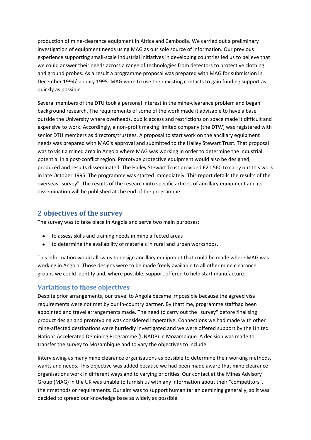production of mine-clearance equipment in Africa and Cambodia. We carried out a preliminary investigation of equipment needs using MAG as our sole source of information. Our previous experience supporting small-scale industrial initiatives in developing countries led us to believe that we could answer their needs across a range of technologies from detectors to protective clothing and ground probes. As a result a programme proposal was prepared with MAG for submission in December 1994/January 1995. MAG were to use their existing contacts to gain funding support as quickly as possible.

Several members of the DTU took a personal interest in the mine-clearance problem and began background research. The requirements of some of the work made it advisable to have a base outside the University where overheads, public access and restrictions on space made it difficult and expensive to work. Accordingly, a non-profit making limited company (the DTW) was registered with senior DTU members as directors/trustees. A proposal to start work on the ancillary equipment needs was prepared with MAG's approval and submitted to the Halley Stewart Trust. That proposal was to visit a mined area in Angola where MAG was working in order to determine the industrial potential in a post-conflict region. Prototype protective equipment would also be designed, produced and results disseminated. The Halley Stewart Trust provided £21,560 to carry out this work in late October 1995. The programme was started immediately. This report details the results of the overseas "survey". The results of the research into specific articles of ancillary equipment and its dissemination will be published at the end of the programme.

### **2 objectives of the survey**

The survey was to take place in Angola and serve two main purposes:

- to assess skills and training needs in mine affected areas
- to determine the availability of materials in rural and urban workshops.

This information would allow us to design ancillary equipment that could be made where MAG was working in Angola. Those designs were to be made freely available to all other mine clearance groups we could identify and, where possible, support offered to help start manufacture.

### **Variations to those objectives**

Despite prior arrangements, our travel to Angola became irnpossible because the agreed visa requirements were not met by our in-country partner. By thattime, programme staffhad been appointed and travel arrangements made. The need to carry out the "survey" before finalising product design and prototyping was considered imperative. Connections we had made with other mine-affected destinations were hurriedly investigated and we were offered support by the United Nations Accelerated Demining Programme (UNADP) in Mozambique. A decision was made to transfer the survey to Mozambique and to vary the objectives to include:

Interviewing as many mine clearance organisations as possible to determine their working methods, wants and needs. This objective was added because we had been made aware that mine clearance organisations work in different ways and to varying priorities. Our contact at the Mines Advisory Group (MAG) in the UK was unable to furnish us with any information about their "competitors", their methods or requirements. Our aim was to support humanitarian demining generally, so it was decided to spread our knowledge base as widely as possible.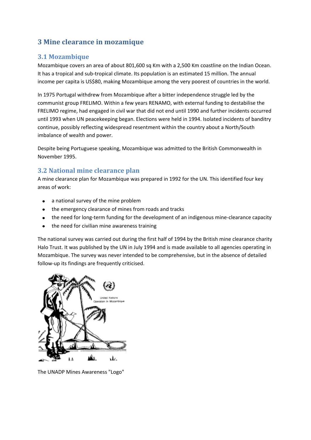### **3 Mine clearance in mozamique**

### **3.1 Mozambique**

Mozambique covers an area of about 801,600 sq Km with a 2,500 Km coastline on the Indian Ocean. It has a tropical and sub-tropical climate. Its population is an estimated 15 million. The annual income per capita is US\$80, making Mozambique among the very poorest of countries in the world.

In 1975 Portugal withdrew from Mozambique after a bitter independence struggle led by the communist group FRELIMO. Within a few years RENAMO, with external funding to destabilise the FRELIMO regime, had engaged in civil war that did not end until 1990 and further incidents occurred until 1993 when UN peacekeeping began. Elections were held in 1994. Isolated incidents of banditry continue, possibly reflecting widespread resentment within the country about a North/South imbalance of wealth and power.

Despite being Portuguese speaking, Mozambique was admitted to the British Commonwealth in November 1995.

### **3.2 National mine clearance plan**

A mine clearance plan for Mozambique was prepared in 1992 for the UN. This identified four key areas of work:

- a national survey of the mine problem
- the emergency clearance of mines from roads and tracks  $\bullet$
- the need for long-term funding for the development of an indigenous mine-clearance capacity  $\bullet$
- the need for civilian mine awareness training  $\bullet$

The national survey was carried out during the first half of 1994 by the British mine clearance charity Halo Trust. It was published by the UN in July 1994 and is made available to all agencies operating in Mozambique. The survey was never intended to be comprehensive, but in the absence of detailed follow-up its findings are frequently criticised.



The UNADP Mines Awareness "Logo"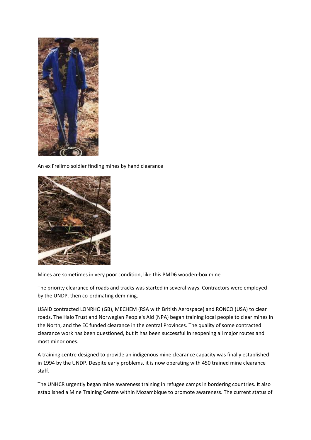

An ex Frelimo soldier finding mines by hand clearance



Mines are sometimes in very poor condition, like this PMD6 wooden-box mine

The priority clearance of roads and tracks was started in several ways. Contractors were employed by the UNDP, then co-ordinating demining.

USAID contracted LONRHO (GB), MECHEM (RSA with British Aerospace) and RONCO (USA) to clear roads. The Halo Trust and Norwegian People's Aid (NPA) began training local people to clear mines in the North, and the EC funded clearance in the central Provinces. The quality of some contracted clearance work has been questioned, but it has been successful in reopening all major routes and most minor ones.

A training centre designed to provide an indigenous mine clearance capacity was finally established in 1994 by the UNDP. Despite early problems, it is now operating with 450 trained mine clearance staff.

The UNHCR urgently began mine awareness training in refugee camps in bordering countries. It also established a Mine Training Centre within Mozambique to promote awareness. The current status of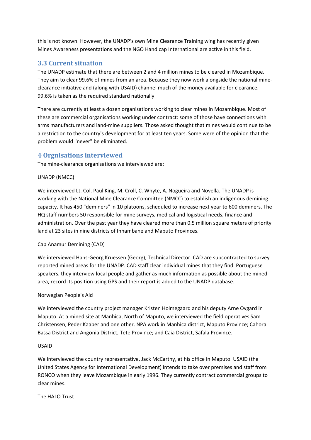this is not known. However, the UNADP's own Mine Clearance Training wing has recently given Mines Awareness presentations and the NGO Handicap International are active in this field.

### **3.3 Current situation**

The UNADP estimate that there are between 2 and 4 million mines to be cleared in Mozambique. They aim to clear 99.6% of mines from an area. Because they now work alongside the national mineclearance initiative and (along with USAID) channel much of the money available for clearance, 99.6% is taken as the required standard nationally.

There are currently at least a dozen organisations working to clear mines in Mozambique. Most of these are commercial organisations working under contract: some of those have connections with arms manufacturers and land-mine suppliers. Those asked thought that mines would continue to be a restriction to the country's development for at least ten years. Some were of the opinion that the problem would "never" be eliminated.

### **4 Orgnisations interviewed**

The mine-clearance organisations we interviewed are:

#### UNADP (NMCC)

We interviewed Lt. Col. Paul King, M. Croll, C. Whyte, A. Nogueira and Novella. The UNADP is working with the National Mine Clearance Committee (NMCC) to establish an indigenous demining capacity. It has 450 "deminers" in 10 platoons, scheduled to increase next year to 600 deminers. The HQ staff numbers 50 responsible for mine surveys, medical and logistical needs, finance and administration. Over the past year they have cleared more than 0.5 million square meters of priority land at 23 sites in nine districts of Inhambane and Maputo Provinces.

#### Cap Anamur Demining (CAD)

We interviewed Hans-Georg Kruessen (Georg), Technical Director. CAD are subcontracted to survey reported mined areas for the UNADP. CAD staff clear individual mines that they find. Portuguese speakers, they interview local people and gather as much information as possible about the mined area, record its position using GPS and their report is added to the UNADP database.

#### Norwegian People's Aid

We interviewed the country project manager Kristen Holmegaard and his deputy Arne Oygard in Maputo. At a mined site at Manhica, North of Maputo, we interviewed the field operatives Sam Christensen, Peder Kaaber and one other. NPA work in Manhica district, Maputo Province; Cahora Bassa District and Angonia District, Tete Province; and Caia District, Safala Province.

#### USAID

We interviewed the country representative, Jack McCarthy, at his office in Maputo. USAID (the United States Agency for International Development) intends to take over premises and staff from RONCO when they leave Mozambique in early 1996. They currently contract commercial groups to clear mines.

#### The HALO Trust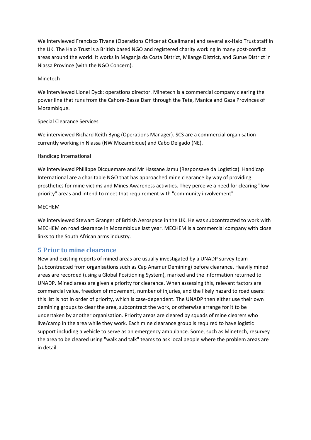We interviewed Francisco Tivane (Operations Officer at Quelimane) and several ex-Halo Trust staff in the UK. The Halo Trust is a British based NGO and registered charity working in many post-conflict areas around the world. It works in Maganja da Costa District, Milange District, and Gurue District in Niassa Province (with the NGO Concern).

#### Minetech

We interviewed Lionel Dyck: operations director. Minetech is a commercial company clearing the power line that runs from the Cahora-Bassa Dam through the Tete, Manica and Gaza Provinces of Mozambique.

#### Special Clearance Services

We interviewed Richard Keith Byng (Operations Manager). SCS are a commercial organisation currently working in Niassa (NW Mozambique) and Cabo Delgado (NE).

#### Handicap International

We interviewed Phillippe Dicquemare and Mr Hassane Jamu (Responsave da Logistica). Handicap International are a charitable NGO that has approached mine clearance by way of providing prosthetics for mine victims and Mines Awareness activities. They perceive a need for clearing "lowpriority" areas and intend to meet that requirement with "community involvement"

#### MECHEM

We interviewed Stewart Granger of British Aerospace in the UK. He was subcontracted to work with MECHEM on road clearance in Mozambique last year. MECHEM is a commercial company with close links to the South African arms industry.

#### **5 Prior to mine clearance**

New and existing reports of mined areas are usually investigated by a UNADP survey team (subcontracted from organisations such as Cap Anamur Demining) before clearance. Heavily mined areas are recorded (using a Global Positioning System), marked and the information returned to UNADP. Mined areas are given a priority for clearance. When assessing this, relevant factors are commercial value, freedom of movement, number of injuries, and the likely hazard to road users: this list is not in order of priority, which is case-dependent. The UNADP then either use their own demining groups to clear the area, subcontract the work, or otherwise arrange for it to be undertaken by another organisation. Priority areas are cleared by squads of mine clearers who live/camp in the area while they work. Each mine clearance group is required to have logistic support including a vehicle to serve as an emergency ambulance. Some, such as Minetech, resurvey the area to be cleared using "walk and talk" teams to ask local people where the problem areas are in detail.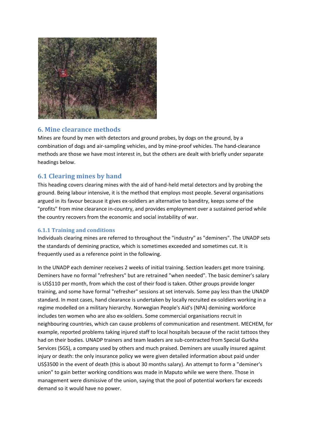

### **6. Mine clearance methods**

Mines are found by men with detectors and ground probes, by dogs on the ground, by a combination of dogs and air-sampling vehicles, and by mine-proof vehicles. The hand-clearance methods are those we have most interest in, but the others are dealt with briefly under separate headings below.

### **6.1 Clearing mines by hand**

This heading covers clearing mines with the aid of hand-held metal detectors and by probing the ground. Being labour intensive, it is the method that employs most people. Several organisations argued in its favour because it gives ex-soldiers an alternative to banditry, keeps some of the "profits" from mine clearance in-country, and provides employment over a sustained period while the country recovers from the economic and social instability of war.

#### **6.1.1 Training and conditions**

Individuals clearing mines are referred to throughout the "industry" as "deminers". The UNADP sets the standards of demining practice, which is sometimes exceeded and sometimes cut. It is frequently used as a reference point in the following.

In the UNADP each deminer receives 2 weeks of initial training. Section leaders get more training. Deminers have no formal "refreshers" but are retrained "when needed". The basic deminer's salary is US\$110 per month, from which the cost of their food is taken. Other groups provide longer training, and some have formal "refresher" sessions at set intervals. Some pay less than the UNADP standard. In most cases, hand clearance is undertaken by locally recruited ex-soldiers working in a regime modelled on a military hierarchy. Norwegian People's Aid's (NPA) demining workforce includes ten women who are also ex-soldiers. Some commercial organisations recruit in neighbouring countries, which can cause problems of communication and resentment. MECHEM, for example, reported problems taking injured staff to local hospitals because of the racist tattoos they had on their bodies. UNADP trainers and team leaders are sub-contracted from Special Gurkha Services (SGS), a company used by others and much praised. Deminers are usually insured against injury or death: the only insurance policy we were given detailed information about paid under US\$3500 in the event of death (this is about 30 months salary). An attempt to form a "deminer's union" to gain better working conditions was made in Maputo while we were there. Those in management were dismissive of the union, saying that the pool of potential workers far exceeds demand so it would have no power.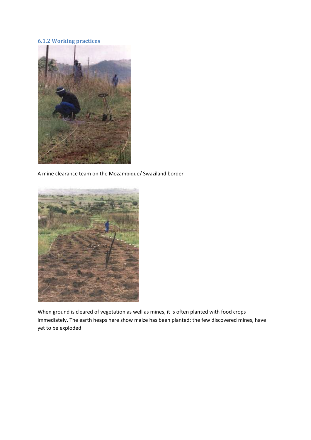### **6.1.2 Working practices**



A mine clearance team on the Mozambique/ Swaziland border



When ground is cleared of vegetation as well as mines, it is often planted with food crops immediately. The earth heaps here show maize has been planted: the few discovered mines, have yet to be exploded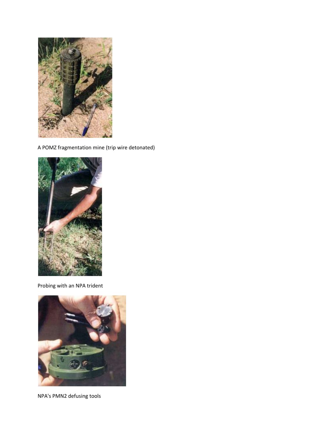

A POMZ fragmentation mine (trip wire detonated)



Probing with an NPA trident



NPA's PMN2 defusing tools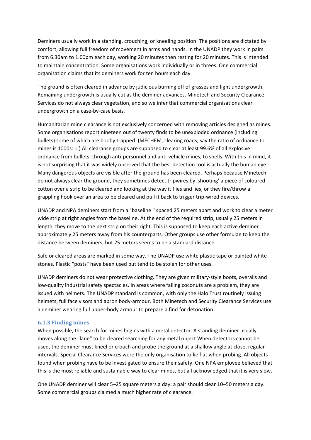Deminers usually work in a standing, crouching, or kneeling position. The positions are dictated by comfort, allowing full freedom of movement in arms and hands. In the UNADP they work in pairs from 6.30am to 1.00pm each day, working 20 minutes then resting for 20 minutes. This is intended to maintain concentration. Some organisations work individually or in threes. One commercial organisation claims that its deminers work for ten hours each day.

The ground is often cleared in advance by judicious burning off of grasses and light undergrowth. Remaining undergrowth is usually cut as the deminer advances. Minetech and Security Clearance Services do not always clear vegetation, and so we infer that commercial organisations clear undergrowth on a case-by-case basis.

Humanitarian mine clearance is not exclusively concerned with removing articles designed as mines. Some organisations report nineteen out of twenty finds to be unexploded ordnance (including bullets) some of which are booby trapped. (MECHEM, clearing roads, say the ratio of ordnance to mines is 1000s: 1.) All clearance groups are supposed to clear at least 99.6% of all explosive ordnance from bullets, through anti-personnel and anti-vehicle mines, to shells. With this in mind, it is not surprising that it was widely observed that the best detection tool is actually the human eye. Many dangerous objects are visible after the ground has been cleared. Perhaps because Minetech do not always clear the ground, they sometimes detect tripwires by 'shooting' a piece of coloured cotton over a strip to be cleared and looking at the way it flies and lies, or they fire/throw a grappling hook over an area to be cleared and pull it back to trigger trip-wired devices.

UNADP and NPA deminers start from a "baseline " spaced 25 meters apart and work to clear a meter wide strip at right angles from the baseline. At the end of the required strip, usually 25 meters in length, they move to the next strip on their right. This is supposed to keep each active deminer approximately 25 meters away from his counterparts. Other groups use other formulae to keep the distance between deminers, but 25 meters seems to be a standard distance.

Safe or cleared areas are marked in some way. The UNADP use white plastic tape or painted white stones. Plastic "posts" have been used but tend to be stolen for other uses.

UNADP deminers do not wear protective clothing. They are given military-style boots, overalls and low-quality industrial safety spectacles. In areas where falling coconuts are a problem, they are issued with helmets. The UNADP standard is common, with only the Halo Trust routinely issuing helmets, full face visors and apron body-armour. Both Minetech and Security Clearance Services use a deminer wearing full upper-body armour to prepare a find for detonation.

#### **6.1.3 Finding mines**

When possible, the search for mines begins with a metal detector. A standing deminer usually moves along the "lane" to be cleared searching for any metal object When detectors cannot be used, the deminer must kneel or crouch and probe the ground at a shallow angle at close, regular intervals. Special Clearance Services were the only organisation to lie flat when probing. All objects found when probing have to be investigated to ensure their safety. One NPA employee believed that this is the most reliable and sustainable way to clear mines, but all acknowledged that it is very slow.

One UNADP deminer will clear 5–25 square meters a day: a pair should clear 10–50 meters a day. Some commercial groups claimed a much higher rate of clearance.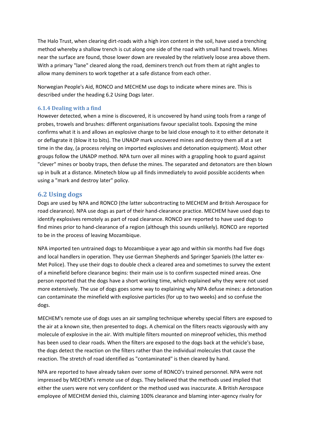The Halo Trust, when clearing dirt-roads with a high iron content in the soil, have used a trenching method whereby a shallow trench is cut along one side of the road with small hand trowels. Mines near the surface are found, those lower down are revealed by the relatively loose area above them. With a primary "lane" cleared along the road, deminers trench out from them at right angles to allow many deminers to work together at a safe distance from each other.

Norwegian People's Aid, RONCO and MECHEM use dogs to indicate where mines are. This is described under the heading 6.2 Using Dogs later.

#### **6.1.4 Dealing with a find**

However detected, when a mine is discovered, it is uncovered by hand using tools from a range of probes, trowels and brushes: different organisations favour specialist tools. Exposing the mine confirms what it is and allows an explosive charge to be laid close enough to it to either detonate it or deflagrate it (blow it to bits). The UNADP mark uncovered mines and destroy them all at a set time in the day, (a process relying on imported explosives and detonation equipment). Most other groups follow the UNADP method. NPA turn over all mines with a grappling hook to guard against "clever" mines or booby traps, then defuse the mines. The separated and detonators are then blown up in bulk at a distance. Minetech blow up all finds immediately to avoid possible accidents when using a "mark and destroy later" policy.

#### **6.2 Using dogs**

Dogs are used by NPA and RONCO (the latter subcontracting to MECHEM and British Aerospace for road clearance). NPA use dogs as part of their hand-clearance practice. MECHEM have used dogs to identify explosives remotely as part of road clearance. RONCO are reported to have used dogs to find mines prior to hand-clearance of a region (although this sounds unlikely). RONCO are reported to be in the process of leaving Mozambique.

NPA imported ten untrained dogs to Mozambique a year ago and within six months had five dogs and local handlers in operation. They use German Shepherds and Springer Spaniels (the latter ex-Met Police). They use their dogs to double check a cleared area and sometimes to survey the extent of a minefield before clearance begins: their main use is to confirm suspected mined areas. One person reported that the dogs have a short working time, which explained why they were not used more extensively. The use of dogs goes some way to explaining why NPA defuse mines: a detonation can contaminate the minefield with explosive particles (for up to two weeks) and so confuse the dogs.

MECHEM's remote use of dogs uses an air sampling technique whereby special filters are exposed to the air at a known site, then presented to dogs. A chemical on the filters reacts vigorously with any molecule of explosive in the air. With multiple filters mounted on mineproof vehicles, this method has been used to clear roads. When the filters are exposed to the dogs back at the vehicle's base, the dogs detect the reaction on the filters rather than the individual molecules that cause the reaction. The stretch of road identified as "contaminated" is then cleared by hand.

NPA are reported to have already taken over some of RONCO's trained personnel. NPA were not impressed by MECHEM's remote use of dogs. They believed that the methods used implied that either the users were not very confident or the method used was inaccurate. A British Aerospace employee of MECHEM denied this, claiming 100% clearance and blaming inter-agency rivalry for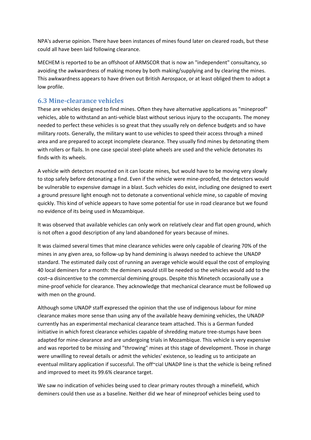NPA's adverse opinion. There have been instances of mines found later on cleared roads, but these could all have been laid following clearance.

MECHEM is reported to be an offshoot of ARMSCOR that is now an "independent" consultancy, so avoiding the awkwardness of making money by both making/supplying and by clearing the mines. This awkwardness appears to have driven out British Aerospace, or at least obliged them to adopt a low profile.

### **6.3 Mine-clearance vehicles**

These are vehicles designed to find mines. Often they have alternative applications as "mineproof" vehicles, able to withstand an anti-vehicle blast without serious injury to the occupants. The money needed to perfect these vehicles is so great that they usually rely on defence budgets and so have military roots. Generally, the military want to use vehicles to speed their access through a mined area and are prepared to accept incomplete clearance. They usually find mines by detonating them with rollers or flails. In one case special steel-plate wheels are used and the vehicle detonates its finds with its wheels.

A vehicle with detectors mounted on it can locate mines, but would have to be moving very slowly to stop safely before detonating a find. Even if the vehicle were mine-proofed, the detectors would be vulnerable to expensive damage in a blast. Such vehicles do exist, including one designed to exert a ground pressure light enough not to detonate a conventional vehicle mine, so capable of moving quickly. This kind of vehicle appears to have some potential for use in road clearance but we found no evidence of its being used in Mozambique.

It was observed that available vehicles can only work on relatively clear and flat open ground, which is not often a good description of any land abandoned for years because of mines.

It was claimed several times that mine clearance vehicles were only capable of clearing 70% of the mines in any given area, so follow-up by hand demining is always needed to achieve the UNADP standard. The estimated daily cost of running an average vehicle would equal the cost of employing 40 local deminers for a month: the deminers would still be needed so the vehicles would add to the cost–a disincentive to the commercial demining groups. Despite this Minetech occasionally use a mine-proof vehicle for clearance. They acknowledge that mechanical clearance must be followed up with men on the ground.

Although some UNADP staff expressed the opinion that the use of indigenous labour for mine clearance makes more sense than using any of the available heavy demining vehicles, the UNADP currently has an experimental mechanical clearance team attached. This is a German funded initiative in which forest clearance vehicles capable of shredding mature tree-stumps have been adapted for mine-clearance and are undergoing trials in Mozambique. This vehicle is very expensive and was reported to be missing and "throwing" mines at this stage of development. Those in charge were unwilling to reveal details or admit the vehicles' existence, so leading us to anticipate an eventual military application if successful. The off~cial UNADP line is that the vehicle is being refined and improved to meet its 99.6% clearance target.

We saw no indication of vehicles being used to clear primary routes through a minefield, which deminers could then use as a baseline. Neither did we hear of mineproof vehicles being used to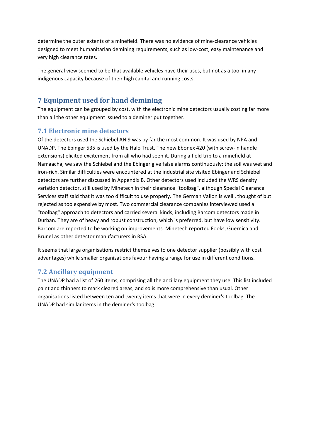determine the outer extents of a minefield. There was no evidence of mine-clearance vehicles designed to meet humanitarian demining requirements, such as low-cost, easy maintenance and very high clearance rates.

The general view seemed to be that available vehicles have their uses, but not as a tool in any indigenous capacity because of their high capital and running costs.

### **7 Equipment used for hand demining**

The equipment can be grouped by cost, with the electronic mine detectors usually costing far more than all the other equipment issued to a deminer put together.

### **7.1 Electronic mine detectors**

Of the detectors used the Schiebel ANl9 was by far the most common. It was used by NPA and UNADP. The Ebinger 535 is used by the Halo Trust. The new Ebonex 420 (with screw-in handle extensions) elicited excitement from all who had seen it. During a field trip to a minefield at Namaacha, we saw the Schiebel and the Ebinger give false alarms continuously: the soil was wet and iron-rich. Similar difficulties were encountered at the industrial site visited Ebinger and Schiebel detectors are further discussed in Appendix B. Other detectors used included the WRS density variation detector, still used by Minetech in their clearance "toolbag", although Special Clearance Services staff said that it was too difficult to use properly. The German Vallon is well , thought of but rejected as too expensive by most. Two commercial clearance companies interviewed used a "toolbag" approach to detectors and carried several kinds, including Barcom detectors made in Durban. They are of heavy and robust construction, which is preferred, but have low sensitivity. Barcom are reported to be working on improvements. Minetech reported Fooks, Guernica and Brunel as other detector manufacturers in RSA.

It seems that large organisations restrict themselves to one detector supplier (possibly with cost advantages) while smaller organisations favour having a range for use in different conditions.

### **7.2 Ancillary equipment**

The UNADP had a list of 260 items, comprising all the ancillary equipment they use. This list included paint and thinners to mark cleared areas, and so is more comprehensive than usual. Other organisations listed between ten and twenty items that were in every deminer's toolbag. The UNADP had similar items in the deminer's toolbag.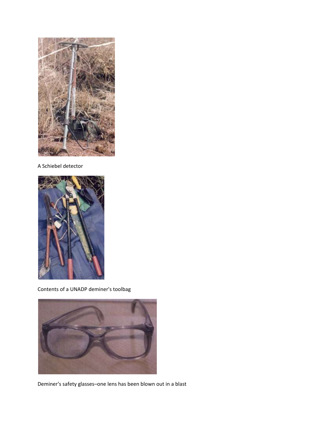

A Schiebel detector



Contents of a UNADP deminer's toolbag



Deminer's safety glasses–one lens has been blown out in a blast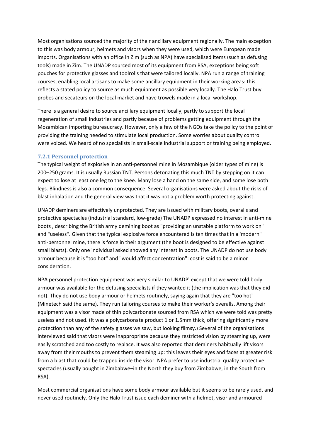Most organisations sourced the majority of their ancillary equipment regionally. The main exception to this was body armour, helmets and visors when they were used, which were European made imports. Organisations with an office in Zim (such as NPA) have specialised items (such as defusing tools) made in Zim. The UNADP sourced most of its equipment from RSA, exceptions being soft pouches for protective glasses and toolrolls that were tailored locally. NPA run a range of training courses, enabling local artisans to make some ancillary equipment in their working areas: this reflects a stated policy to source as much equipment as possible very locally. The Halo Trust buy probes and secateurs on the local market and have trowels made in a local workshop.

There is a general desire to source ancillary equipment locally, partly to support the local regeneration of small industries and partly because of problems getting equipment through the Mozambican importing bureaucracy. However, only a few of the NGOs take the policy to the point of providing the training needed to stimulate local production. Some worries about quality control were voiced. We heard of no specialists in small-scale industrial support or training being employed.

#### **7.2.1 Personnel protection**

The typical weight of explosive in an anti-personnel mine in Mozambique (older types of mine) is 200–250 grams. It is usually Russian TNT. Persons detonating this much TNT by stepping on it can expect to lose at least one leg to the knee. Many lose a hand on the same side, and some lose both legs. Blindness is also a common consequence. Several organisations were asked about the risks of blast inhalation and the general view was that it was not a problem worth protecting against.

UNADP deminers are effectively unprotected. They are issued with military boots, overalls and protective spectacles (industrial standard, low-grade) The UNADP expressed no interest in anti-mine boots , describing the British army demining boot as "providing an unstable platform to work on" and "useless". Given that the typical explosive force encountered is ten times that in a 'modern" anti-personnel mine, there is force in their argument (the boot is designed to be effective against small blasts). Only one individual asked showed any interest in boots. The UNADP do not use body armour because it is "too hot" and "would affect concentration": cost is said to be a minor consideration.

NPA personnel protection equipment was very similar to UNADP' except that we were told body armour was available for the defusing specialists if they wanted it (the implication was that they did not). They do not use body armour or helmets routinely, saying again that they are "too hot" (Minetech said the same). They run tailoring courses to make their worker's overalls. Among their equipment was a visor made of thin polycarbonate sourced from RSA which we were told was pretty useless and not used. (It was a polycarbonate product 1 or 1.5mm thick, offering significantly more protection than any of the safety glasses we saw, but looking flimsy.) Several of the organisations interviewed said that visors were inappropriate because they restricted vision by steaming up, were easily scratched and too costly to replace. It was also reported that deminers habitually lift visors away from their mouths to prevent them steaming up: this leaves their eyes and faces at greater risk from a blast that could be trapped inside the visor. NPA prefer to use industrial quality protective spectacles (usually bought in Zimbabwe–in the North they buy from Zimbabwe, in the South from RSA).

Most commercial organisations have some body armour available but it seems to be rarely used, and never used routinely. Only the Halo Trust issue each deminer with a helmet, visor and armoured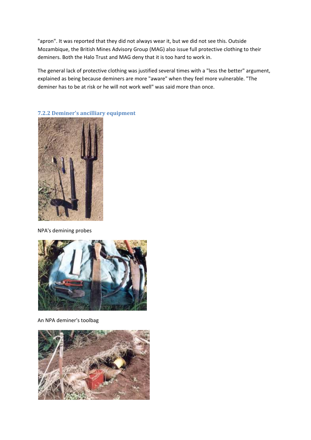"apron". It was reported that they did not always wear it, but we did not see this. Outside Mozambique, the British Mines Advisory Group (MAG) also issue full protective clothing to their deminers. Both the Halo Trust and MAG deny that it is too hard to work in.

The general lack of protective clothing was justified several times with a "less the better" argument, explained as being because deminers are more "aware" when they feel more vulnerable. "The deminer has to be at risk or he will not work well" was said more than once.



**7.2.2 Deminer's ancilliary equipment**

NPA's demining probes



An NPA deminer's toolbag

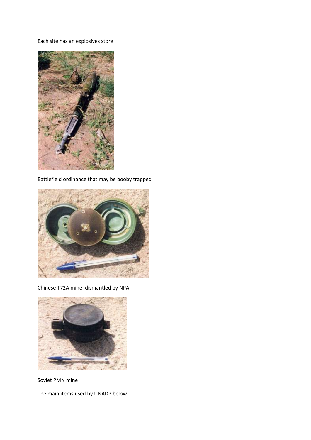Each site has an explosives store



Battlefield ordinance that may be booby trapped



Chinese T72A mine, dismantled by NPA



Soviet PMN mine

The main items used by UNADP below.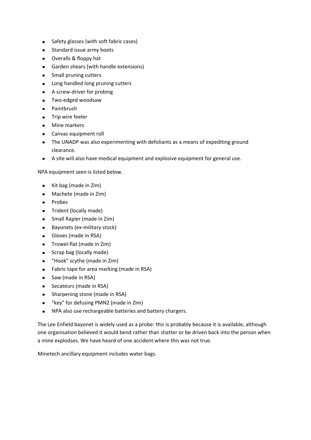- Safety glasses (with soft fabric cases)
- Standard issue army boots
- Overalls & floppy hat
- Garden shears (with handle extensions)
- Small pruning cutters
- Long handled long pruning cutters
- A screw-driver for probing
- Two-edged woodsaw
- Paintbrush
- Trip wire feeler
- Mine markers
- Canvas equipment roll
- The UNADP was also experimenting with defoliants as a means of expediting ground clearance.
- A site will also have medical equipment and explosive equipment for general use.

NPA equipment seen is listed below.

- Kit bag (made in Zim)
- Machete (made in Zim)
- Probes
- Trident (locally made)
- Small Rapier (made in Zim)
- Bayonets (ex-military stock)  $\bullet$
- Gloves (made in RSA)
- Trowel-flat (made in Zim)  $\bullet$
- Scrap bag (locally made)
- "Hook" scythe (made in Zim)
- Fabric tape for area marking (made in RSA)
- Saw (made in RSA)
- Secateurs (made in RSA)
- Sharpening stone (made in RSA)
- "key" for defusing PMN2 (made in Zim)  $\bullet$
- NPA also use rechargeable batteries and battery chargers.  $\bullet$

The Lee Enfield bayonet is widely used as a probe: this is probably because it is available, although one organisation believed it would bend rather than shatter or be driven back into the person when a mine explodses. We have heard of one accident where this was not true.

Minetech ancillary equipment includes water bags.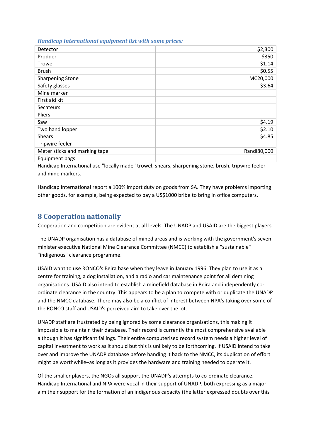#### *Handicap International equipment list with some prices:*

| Detector                      | \$2,300     |
|-------------------------------|-------------|
| Prodder                       | \$350       |
| Trowel                        | \$1.14      |
| <b>Brush</b>                  | \$0.55      |
| <b>Sharpening Stone</b>       | MC20,000    |
| Safety glasses                | \$3.64      |
| Mine marker                   |             |
| First aid kit                 |             |
| Secateurs                     |             |
| Pliers                        |             |
| Saw                           | \$4.19      |
| Two hand lopper               | \$2.10      |
| <b>Shears</b>                 | \$4.85      |
| Tripwire feeler               |             |
| Meter sticks and marking tape | Randl80,000 |
| Equipment bags                |             |

Handicap International use "locally made" trowel, shears, sharpening stone, brush, tripwire feeler and mine markers.

Handicap International report a 100% import duty on goods from SA. They have problems importing other goods, for example, being expected to pay a US\$1000 bribe to bring in office computers.

### **8 Cooperation nationally**

Cooperation and competition are evident at all levels. The UNADP and USAID are the biggest players.

The UNADP organisation has a database of mined areas and is working with the government's seven minister executive National Mine Clearance Committee (NMCC) to establish a "sustainable" "indigenous" clearance programme.

USAID want to use RONCO's Beira base when they leave in January 1996. They plan to use it as a centre for training, a dog installation, and a radio and car maintenance point for all demining organisations. USAID also intend to establish a minefield database in Beira and independently coordinate clearance in the country. This appears to be a plan to compete with or duplicate the UNADP and the NMCC database. There may also be a conflict of interest between NPA's taking over some of the RONCO staff and USAID's perceived aim to take over the lot.

UNADP staff are frustrated by being ignored by some clearance organisations, this making it impossible to maintain their database. Their record is currently the most comprehensive available although it has significant failings. Their entire computerised record system needs a higher level of capital investment to work as it should but this is unlikely to be forthcoming. If USAID intend to take over and improve the UNADP database before handing it back to the NMCC, its duplication of effort might be worthwhile–as long as it provides the hardware and training needed to operate it.

Of the smaller players, the NGOs all support the UNADP's attempts to co-ordinate clearance. Handicap International and NPA were vocal in their support of UNADP, both expressing as a major aim their support for the formation of an indigenous capacity (the latter expressed doubts over this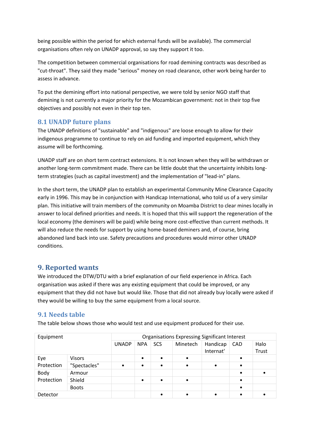being possible within the period for which external funds will be available). The commercial organisations often rely on UNADP approval, so say they support it too.

The competition between commercial organisations for road demining contracts was described as "cut-throat". They said they made "serious" money on road clearance, other work being harder to assess in advance.

To put the demining effort into national perspective, we were told by senior NGO staff that demining is not currently a major priority for the Mozambican government: not in their top five objectives and possibly not even in their top ten.

### **8.1 UNADP future plans**

The UNADP definitions of "sustainable" and "indigenous" are loose enough to allow for their indigenous programme to continue to rely on aid funding and imported equipment, which they assume will be forthcoming.

UNADP staff are on short term contract extensions. It is not known when they will be withdrawn or another long-term commitment made. There can be little doubt that the uncertainty inhibits longterm strategies (such as capital investment) and the implementation of "lead-in" plans.

In the short term, the UNADP plan to establish an experimental Community Mine Clearance Capacity early in 1996. This may be in conjunction with Handicap International, who told us of a very similar plan. This initiative will train members of the community on Moamba District to clear mines locally in answer to local defined priorities and needs. It is hoped that this will support the regeneration of the local economy (the deminers will be paid) while being more cost-effective than current methods. It will also reduce the needs for support by using home-based deminers and, of course, bring abandoned land back into use. Safety precautions and procedures would mirror other UNADP conditions.

### **9. Reported wants**

We introduced the DTW/DTU with a brief explanation of our field experience in Africa. Each organisation was asked if there was any existing equipment that could be improved, or any equipment that they did not have but would like. Those that did not already buy locally were asked if they would be willing to buy the same equipment from a local source.

### **9.1 Needs table**

The table below shows those who would test and use equipment produced for their use.

| Equipment          |               | <b>Organisations Expressing Significant Interest</b> |            |            |           |                       |            |               |
|--------------------|---------------|------------------------------------------------------|------------|------------|-----------|-----------------------|------------|---------------|
|                    |               | <b>UNADP</b>                                         | <b>NPA</b> | <b>SCS</b> | Minetech  | Handicap<br>Internat' | <b>CAD</b> | Halo<br>Trust |
| Eye<br>Protection  | <b>Visors</b> |                                                      | $\bullet$  | $\bullet$  | $\bullet$ |                       |            |               |
|                    | "Spectacles"  |                                                      | $\bullet$  | $\bullet$  |           | $\bullet$             |            |               |
| Body<br>Protection | Armour        |                                                      |            |            |           |                       |            |               |
|                    | Shield        |                                                      | $\bullet$  | $\bullet$  |           |                       |            |               |
|                    | <b>Boots</b>  |                                                      |            |            |           |                       |            |               |
| Detector           |               |                                                      |            |            |           |                       | $\bullet$  |               |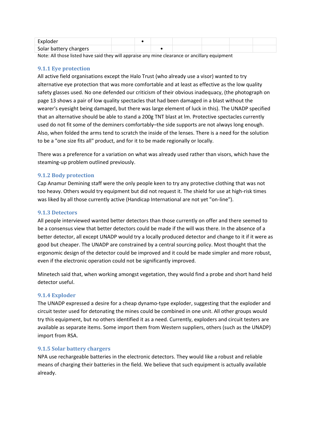| Exploder               |  |  |  |  |
|------------------------|--|--|--|--|
| Solar battery chargers |  |  |  |  |

Note: All those listed have said they will appraise any mine clearance or ancillary equipment

#### **9.1.1 Eye protection**

All active field organisations except the Halo Trust (who already use a visor) wanted to try alternative eye protection that was more comfortable and at least as effective as the low quality safety glasses used. No one defended our criticism of their obvious inadequacy, (the photograph on page 13 shows a pair of low quality spectacles that had been damaged in a blast without the wearer's eyesight being damaged, but there was large element of luck in this). The UNADP specified that an alternative should be able to stand a 200g TNT blast at lm. Protective spectacles currently used do not fit some of the deminers comfortably–the side supports are not always long enough. Also, when folded the arms tend to scratch the inside of the lenses. There is a need for the solution to be a "one size fits all" product, and for it to be made regionally or locally.

There was a preference for a variation on what was already used rather than visors, which have the steaming-up problem outlined previously.

#### **9.1.2 Body protection**

Cap Anamur Demining staff were the only people keen to try any protective clothing that was not too heavy. Others would try equipment but did not request it. The shield for use at high-risk times was liked by all those currently active (Handicap International are not yet "on-line").

#### **9.1.3 Detectors**

All people interviewed wanted better detectors than those currently on offer and there seemed to be a consensus view that better detectors could be made if the will was there. In the absence of a better detector, all except UNADP would try a locally produced detector and change to it if it were as good but cheaper. The UNADP are constrained by a central sourcing policy. Most thought that the ergonomic design of the detector could be improved and it could be made simpler and more robust, even if the electronic operation could not be significantly improved.

Minetech said that, when working amongst vegetation, they would find a probe and short hand held detector useful.

#### **9.1.4 Exploder**

The UNADP expressed a desire for a cheap dynamo-type exploder, suggesting that the exploder and circuit tester used for detonating the mines could be combined in one unit. All other groups would try this equipment, but no others identified it as a need. Currently, exploders and circuit testers are available as separate items. Some import them from Western suppliers, others (such as the UNADP) import from RSA.

#### **9.1.5 Solar battery chargers**

NPA use rechargeable batteries in the electronic detectors. They would like a robust and reliable means of charging their batteries in the field. We believe that such equipment is actually available already.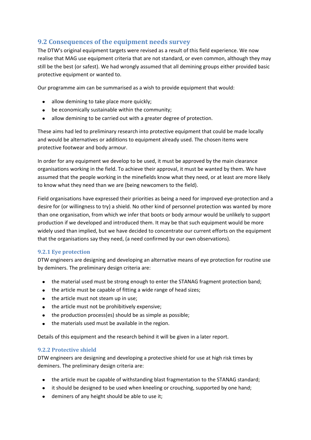### **9.2 Consequences of the equipment needs survey**

The DTW's original equipment targets were revised as a result of this field experience. We now realise that MAG use equipment criteria that are not standard, or even common, although they may still be the best (or safest). We had wrongly assumed that all demining groups either provided basic protective equipment or wanted to.

Our programme aim can be summarised as a wish to provide equipment that would:

- allow demining to take place more quickly;
- be economically sustainable within the community;
- allow demining to be carried out with a greater degree of protection.  $\bullet$

These aims had led to preliminary research into protective equipment that could be made locally and would be alternatives or additions to equipment already used. The chosen items were protective footwear and body armour.

In order for any equipment we develop to be used, it must be approved by the main clearance organisations working in the field. To achieve their approval, it must be wanted by them. We have assumed that the people working in the minefields know what they need, or at least are more likely to know what they need than we are (being newcomers to the field).

Field organisations have expressed their priorities as being a need for improved eye-protection and a desire for (or willingness to try) a shield. No other kind of personnel protection was wanted by more than one organisation, from which we infer that boots or body armour would be unlikely to support production if we developed and introduced them. It may be that such equipment would be more widely used than implied, but we have decided to concentrate our current efforts on the equipment that the organisations say they need, (a need confirmed by our own observations).

#### **9.2.1 Eye protection**

DTW engineers are designing and developing an alternative means of eye protection for routine use by deminers. The preliminary design criteria are:

- the material used must be strong enough to enter the STANAG fragment protection band;
- the article must be capable of fitting a wide range of head sizes;
- the article must not steam up in use;
- the article must not be prohibitively expensive;
- the production process(es) should be as simple as possible;
- the materials used must be available in the region.

Details of this equipment and the research behind it will be given in a later report.

#### **9.2.2 Protective shield**

DTW engineers are designing and developing a protective shield for use at high risk times by deminers. The preliminary design criteria are:

- the article must be capable of withstanding blast fragmentation to the STANAG standard;
- it should be designed to be used when kneeling or crouching, supported by one hand;
- deminers of any height should be able to use it;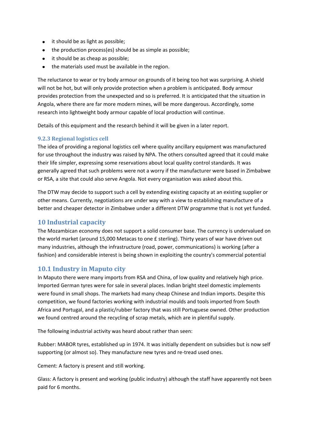- it should be as light as possible;
- the production process(es) should be as simple as possible;
- it should be as cheap as possible;
- the materials used must be available in the region.

The reluctance to wear or try body armour on grounds of it being too hot was surprising. A shield will not be hot, but will only provide protection when a problem is anticipated. Body armour provides protection from the unexpected and so is preferred. It is anticipated that the situation in Angola, where there are far more modern mines, will be more dangerous. Accordingly, some research into lightweight body armour capable of local production will continue.

Details of this equipment and the research behind it will be given in a later report.

#### **9.2.3 Regional logistics cell**

The idea of providing a regional logistics cell where quality ancillary equipment was manufactured for use throughout the industry was raised by NPA. The others consulted agreed that it could make their life simpler, expressing some reservations about local quality control standards. It was generally agreed that such problems were not a worry if the manufacturer were based in Zimbabwe or RSA, a site that could also serve Angola. Not every organisation was asked about this.

The DTW may decide to support such a cell by extending existing capacity at an existing supplier or other means. Currently, negotiations are under way with a view to establishing manufacture of a better and cheaper detector in Zimbabwe under a different DTW programme that is not yet funded.

### **10 Industrial capacity**

The Mozambican economy does not support a solid consumer base. The currency is undervalued on the world market (around 15,000 Metacas to one £ sterling). Thirty years of war have driven out many industries, although the infrastructure (road, power, communications) is working (after a fashion) and considerable interest is being shown in exploiting the country's commercial potential

### **10.1 Industry in Maputo city**

In Maputo there were many imports from RSA and China, of low quality and relatively high price. Imported German tyres were for sale in several places. Indian bright steel domestic implements were found in small shops. The markets had many cheap Chinese and Indian imports. Despite this competition, we found factories working with industrial moulds and tools imported from South Africa and Portugal, and a plastic/rubber factory that was still Portuguese owned. Other production we found centred around the recycling of scrap metals, which are in plentiful supply.

The following industrial activity was heard about rather than seen:

Rubber: MABOR tyres, established up in 1974. It was initially dependent on subsidies but is now self supporting (or almost so). They manufacture new tyres and re-tread used ones.

Cement: A factory is present and still working.

Glass: A factory is present and working (public industry) although the staff have apparently not been paid for 6 months.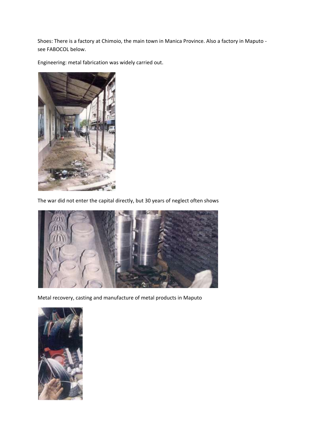Shoes: There is a factory at Chimoio, the main town in Manica Province. Also a factory in Maputo see FABOCOL below.

Engineering: metal fabrication was widely carried out.



The war did not enter the capital directly, but 30 years of neglect often shows



Metal recovery, casting and manufacture of metal products in Maputo

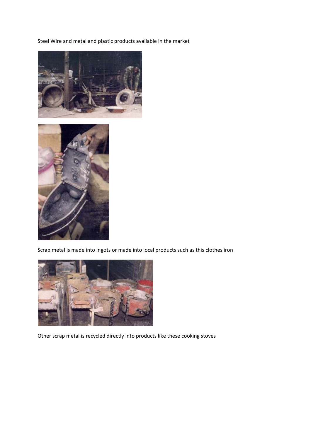Steel Wire and metal and plastic products available in the market





Scrap metal is made into ingots or made into local products such as this clothes iron



Other scrap metal is recycled directly into products like these cooking stoves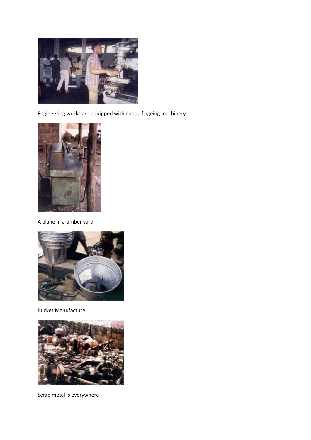

Engineering works are equipped with good, if ageing machinery



A plane in a timber yard



Bucket Manufacture



Scrap metal is everywhere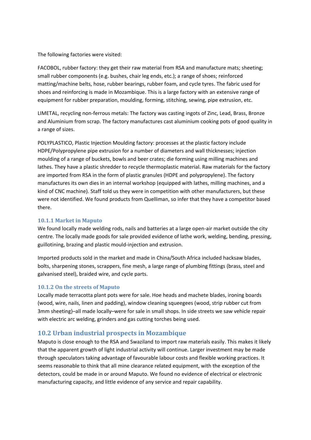The following factories were visited:

FACOBOL, rubber factory: they get their raw material from RSA and manufacture mats; sheeting; small rubber components (e.g. bushes, chair leg ends, etc.); a range of shoes; reinforced matting/machine belts, hose, rubber bearings, rubber foam, and cycle tyres. The fabric used for shoes and reinforcing is made in Mozambique. This is a large factory with an extensive range of equipment for rubber preparation, moulding, forming, stitching, sewing, pipe extrusion, etc.

LIMETAL, recycling non-ferrous metals: The factory was casting ingots of Zinc, Lead, Brass, Bronze and Aluminium from scrap. The factory manufactures cast aluminium cooking pots of good quality in a range of sizes.

POLYPLASTICO, Plastic Injection Moulding factory: processes at the plastic factory include HDPE/Polypropylene pipe extrusion for a number of diameters and wall thicknesses; injection moulding of a range of buckets, bowls and beer crates; die forming using milling machines and lathes. They have a plastic shredder to recycle thermoplastic material. Raw materials for the factory are imported from RSA in the form of plastic granules (HDPE and polypropylene). The factory manufactures its own dies in an internal workshop (equipped with lathes, milling machines, and a kind of CNC machine). Staff told us they were in competition with other manufacturers, but these were not identified. We found products from Quelliman, so infer that they have a competitor based there.

#### **10.1.1 Market in Maputo**

We found locally made welding rods, nails and batteries at a large open-air market outside the city centre. The locally made goods for sale provided evidence of lathe work, welding, bending, pressing, guillotining, brazing and plastic mould-injection and extrusion.

Imported products sold in the market and made in China/South Africa included hacksaw blades, bolts, sharpening stones, scrappers, fine mesh, a large range of plumbing fittings (brass, steel and galvanised steel), braided wire, and cycle parts.

#### **10.1.2 On the streets of Maputo**

Locally made terracotta plant pots were for sale. Hoe heads and machete blades, ironing boards (wood, wire, nails, linen and padding), window cleaning squeegees (wood, strip rubber cut from 3mm sheeting)–all made locally–were for sale in small shops. In side streets we saw vehicle repair with electric arc welding, grinders and gas cutting torches being used.

#### **10.2 Urban industrial prospects in Mozambique**

Maputo is close enough to the RSA and Swaziland to import raw materials easily. This makes it likely that the apparent growth of light industrial activity will continue. Larger investment may be made through speculators taking advantage of favourable labour costs and flexible working practices. It seems reasonable to think that all mine clearance related equipment, with the exception of the detectors, could be made in or around Maputo. We found no evidence of electrical or electronic manufacturing capacity, and little evidence of any service and repair capability.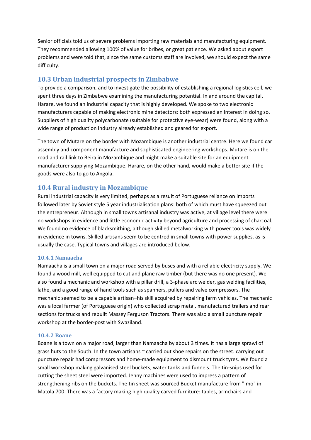Senior officials told us of severe problems importing raw materials and manufacturing equipment. They recommended allowing 100% of value for bribes, or great patience. We asked about export problems and were told that, since the same customs staff are involved, we should expect the same difficulty.

### **10.3 Urban industrial prospects in Zimbabwe**

To provide a comparison, and to investigate the possibility of establishing a regional logistics cell, we spent three days in Zimbabwe examining the manufacturing potential. In and around the capital, Harare, we found an industrial capacity that is highly developed. We spoke to two electronic manufacturers capable of making electronic mine detectors: both expressed an interest in doing so. Suppliers of high quality polycarbonate (suitable for protective eye-wear) were found, along with a wide range of production industry already established and geared for export.

The town of Mutare on the border with Mozambique is another industrial centre. Here we found car assembly and component manufacture and sophisticated engineering workshops. Mutare is on the road and rail link to Beira in Mozambique and might make a suitable site for an equipment manufacturer supplying Mozambique. Harare, on the other hand, would make a better site if the goods were also to go to Angola.

### **10.4 Rural industry in Mozambique**

Rural industrial capacity is very limited, perhaps as a result of Portuguese reliance on imports followed later by Soviet style 5 year industrialisation plans: both of which must have squeezed out the entrepreneur. Although in small towns artisanal industry was active, at village level there were no workshops in evidence and little economic activity beyond agriculture and processing of charcoal. We found no evidence of blacksmithing, although skilled metalworking with power tools was widely in evidence in towns. Skilled artisans seem to be centred in small towns with power supplies, as is usually the case. Typical towns and villages are introduced below.

#### **10.4.1 Namaacha**

Namaacha is a small town on a major road served by buses and with a reliable electricity supply. We found a wood mill, well equipped to cut and plane raw timber (but there was no one present). We also found a mechanic and workshop with a pillar drill, a 3-phase arc welder, gas welding facilities, lathe, and a good range of hand tools such as spanners, pullers and valve compressors. The mechanic seemed to be a capable artisan–his skill acquired by repairing farm vehicles. The mechanic was a local farmer (of Portuguese origin) who collected scrap metal, manufactured trailers and rear sections for trucks and rebuilt Massey Ferguson Tractors. There was also a small puncture repair workshop at the border-post with Swaziland.

#### **10.4.2 Boane**

Boane is a town on a major road, larger than Namaacha by about 3 times. It has a large sprawl of grass huts to the South. In the town artisans ~ carried out shoe repairs on the street. carrying out puncture repair had compressors and home-made equipment to dismount truck tyres. We found a small workshop making galvanised steel buckets, water tanks and funnels. The tin-snips used for cutting the sheet steel were imported. Jenny machines were used to impress a pattern of strengthening ribs on the buckets. The tin sheet was sourced Bucket manufacture from "Imo" in Matola 700. There was a factory making high quality carved furniture: tables, armchairs and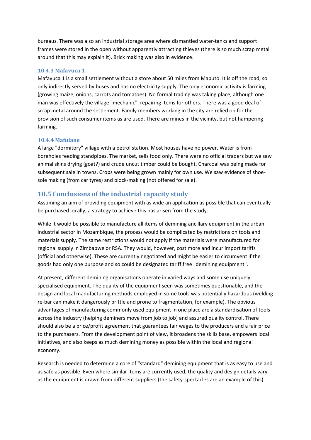bureaus. There was also an industrial storage area where dismantled water-tanks and support frames were stored in the open without apparently attracting thieves (there is so much scrap metal around that this may explain it). Brick making was also in evidence.

#### **10.4.3 Mafavuca 1**

Mafavuca 1 is a small settlement without a store about 50 miles from Maputo. It is off the road, so only indirectly served by buses and has no electricity supply. The only economic activity is farming (growing maize, onions, carrots and tomatoes). No formal trading was taking place, although one man was effectively the village "mechanic", repairing items for others. There was a good deal of scrap metal around the settlement. Family members working in the city are relied on for the provision of such consumer items as are used. There are mines in the vicinity, but not hampering farming.

#### **10.4.4 Mafuiane**

A large "dormitory" village with a petrol station. Most houses have no power. Water is from boreholes feeding standpipes. The market, sells food only. There were no official traders but we saw animal skins drying (goat?) and crude uncut timber could be bought. Charcoal was being made for subsequent sale in towns. Crops were being grown mainly for own use. We saw evidence of shoesole making (from car tyres) and block-making (not offered for sale).

### **10.5 Conclusions of the industrial capacity study**

Assuming an aim of providing equipment with as wide an application as possible that can eventually be purchased locally, a strategy to achieve this has arisen from the study.

While it would be possible to manufacture all items of demining ancillary equipment in the urban industrial sector in Mozambique, the process would be complicated by restrictions on tools and materials supply. The same restrictions would not apply if the materials were manufactured for regional supply in Zimbabwe or RSA. They would, however, cost more and incur import tariffs (official and otherwise). These are currently negotiated and might be easier to circumvent if the goods had only one purpose and so could be designated tariff free "demining equipment".

At present, different demining organisations operate in varied ways and some use uniquely specialised equipment. The quality of the equipment seen was sometimes questionable, and the design and local manufacturing methods employed in some tools was potentially hazardous (welding re-bar can make it dangerously brittle and prone to fragmentation, for example). The obvious advantages of manufacturing commonly used equipment in one place are a standardisation of tools across the industry (helping deminers move from job to job) and assured quality control. There should also be a price/profit agreement that guarantees fair wages to the producers and a fair price to the purchasers. From the development point of view, it broadens the skills base, empowers local initiatives, and also keeps as much demining money as possible within the local and regional economy.

Research is needed to determine a core of "standard" demining equipment that is as easy to use and as safe as possible. Even where similar items are currently used, the quality and design details vary as the equipment is drawn from different suppliers (the safety-spectacles are an example of this).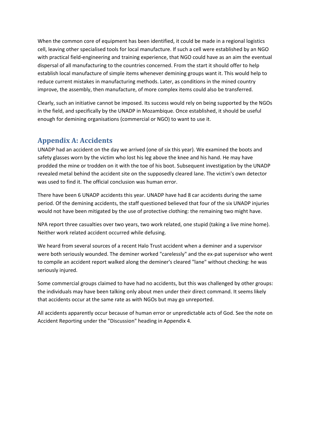When the common core of equipment has been identified, it could be made in a regional logistics cell, leaving other specialised tools for local manufacture. If such a cell were established by an NGO with practical field-engineering and training experience, that NGO could have as an aim the eventual dispersal of all manufacturing to the countries concerned. From the start it should offer to help establish local manufacture of simple items whenever demining groups want it. This would help to reduce current mistakes in manufacturing methods. Later, as conditions in the mined country improve, the assembly, then manufacture, of more complex items could also be transferred.

Clearly, such an initiative cannot be imposed. Its success would rely on being supported by the NGOs in the field, and specifically by the UNADP in Mozambique. Once established, it should be useful enough for demining organisations (commercial or NGO) to want to use it.

### **Appendix A: Accidents**

UNADP had an accident on the day we arrived (one of six this year). We examined the boots and safety glasses worn by the victim who lost his leg above the knee and his hand. He may have prodded the mine or trodden on it with the toe of his boot. Subsequent investigation by the UNADP revealed metal behind the accident site on the supposedly cleared lane. The victim's own detector was used to find it. The official conclusion was human error.

There have been 6 UNADP accidents this year. UNADP have had 8 car accidents during the same period. Of the demining accidents, the staff questioned believed that four of the six UNADP injuries would not have been mitigated by the use of protective clothing: the remaining two might have.

NPA report three casualties over two years, two work related, one stupid (taking a live mine home). Neither work related accident occurred while defusing.

We heard from several sources of a recent Halo Trust accident when a deminer and a supervisor were both seriously wounded. The deminer worked "carelessly" and the ex-pat supervisor who went to compile an accident report walked along the deminer's cleared "lane" without checking: he was seriously injured.

Some commercial groups claimed to have had no accidents, but this was challenged by other groups: the individuals may have been talking only about men under their direct command. It seems likely that accidents occur at the same rate as with NGOs but may go unreported.

All accidents apparently occur because of human error or unpredictable acts of God. See the note on Accident Reporting under the "Discussion" heading in Appendix 4.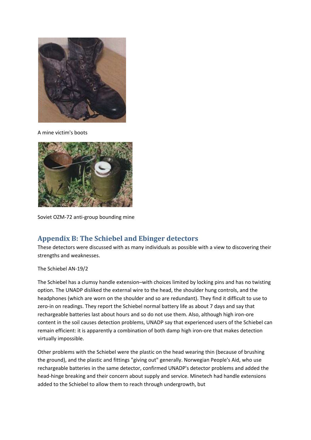

A mine victim's boots



Soviet OZM-72 anti-group bounding mine

### **Appendix B: The Schiebel and Ebinger detectors**

These detectors were discussed with as many individuals as possible with a view to discovering their strengths and weaknesses.

The Schiebel AN-19/2

The Schiebel has a clumsy handle extension–with choices limited by locking pins and has no twisting option. The UNADP disliked the external wire to the head, the shoulder hung controls, and the headphones (which are worn on the shoulder and so are redundant). They find it difficult to use to zero-in on readings. They report the Schiebel normal battery life as about 7 days and say that rechargeable batteries last about hours and so do not use them. Also, although high iron-ore content in the soil causes detection problems, UNADP say that experienced users of the Schiebel can remain efficient: it is apparently a combination of both damp high iron-ore that makes detection virtually impossible.

Other problems with the Schiebel were the plastic on the head wearing thin (because of brushing the ground), and the plastic and fittings "giving out" generally. Norwegian People's Aid, who use rechargeable batteries in the same detector, confirmed UNADP's detector problems and added the head-hinge breaking and their concern about supply and service. Minetech had handle extensions added to the Schiebel to allow them to reach through undergrowth, but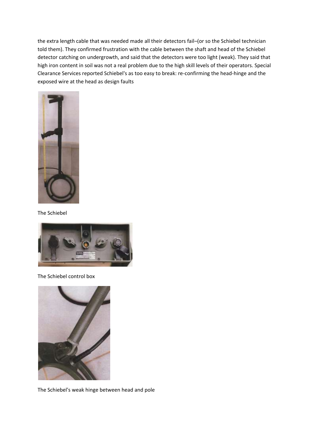the extra length cable that was needed made all their detectors fail–(or so the Schiebel technician told them). They confirmed frustration with the cable between the shaft and head of the Schiebel detector catching on undergrowth, and said that the detectors were too light (weak). They said that high iron content in soil was not a real problem due to the high skill levels of their operators. Special Clearance Services reported Schiebel's as too easy to break: re-confirming the head-hinge and the exposed wire at the head as design faults



The Schiebel



The Schiebel control box



The Schiebel's weak hinge between head and pole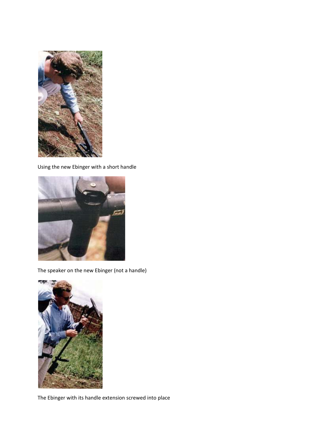

Using the new Ebinger with a short handle



The speaker on the new Ebinger (not a handle)



The Ebinger with its handle extension screwed into place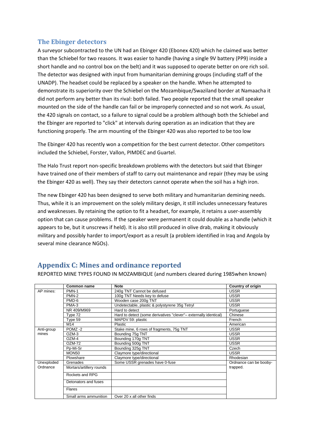### **The Ebinger detectors**

A surveyor subcontracted to the UN had an Ebinger 420 (Ebonex 420) which he claimed was better than the Schiebel for two reasons. It was easier to handle (having a single 9V battery (PP9) inside a short handle and no control box on the belt) and it was supposed to operate better on ore rich soil. The detector was designed with input from humanitarian demining groups (including staff of the UNADP). The headset could be replaced by a speaker on the handle. When he attempted to demonstrate its superiority over the Schiebel on the Mozambique/Swaziland border at Namaacha it did not perform any better than its rival: both failed. Two people reported that the small speaker mounted on the side of the handle can fail or be improperly connected and so not work. As usual, the 420 signals on contact, so a failure to signal could be a problem although both the Schiebel and the Ebinger are reported to "click" at intervals during operation as an indication that they are functioning properly. The arm mounting of the Ebinger 420 was also reported to be too low

The Ebinger 420 has recently won a competition for the best current detector. Other competitors included the Schiebel, Forster, Vallon, PIMDEC and Guartel.

The Halo Trust report non-specific breakdown problems with the detectors but said that Ebinger have trained one of their members of staff to carry out maintenance and repair (they may be using the Ebinger 420 as well). They say their detectors cannot operate when the soil has a high iron.

The new Ebinger 420 has been designed to serve both military and humanitarian demining needs. Thus, while it is an improvement on the solely military design, it still includes unnecessary features and weaknesses. By retaining the option to fit a headset, for example, it retains a user-assembly option that can cause problems. If the speaker were permanent it could double as a handle (which it appears to be, but it unscrews if held). It is also still produced in olive drab, making it obviously military and possibly harder to import/export as a result (a problem identified in Iraq and Angola by several mine clearance NGOs).

### **Appendix C: Mines and ordinance reported**

REPORTED MINE TYPES FOUND IN MOZAMBIQUE (and numbers cleared during 1985when known)

|            | Common name              | <b>Note</b>                                                      | <b>Country of origin</b> |
|------------|--------------------------|------------------------------------------------------------------|--------------------------|
|            |                          |                                                                  |                          |
| AP mines:  | PMN-1                    | 240g TNT Cannot be defused                                       | <b>USSR</b>              |
|            | PMN-2                    | 100g TNT Needs key to defuse                                     | <b>USSR</b>              |
|            | PMD-6                    | Wooden case 200g TNT                                             | <b>USSR</b>              |
|            | PMA-3                    | Undetectable, plastic & polystyrene 35g Tetryl                   | <b>USSR</b>              |
|            | NR 409/M969              | Hard to detect                                                   | Portuguese               |
|            | Type 72                  | Hard to detect (some derivatives "clever"- externally identical) | Chinese                  |
|            | Type 59                  | MAPDV 59: plastic                                                | French                   |
|            | M14                      | Plastic                                                          | American                 |
| Anti-group | POMZ-2                   | Stake mine, 6 rows of fragments, 75g TNT                         | <b>USSR</b>              |
| mines      | OZM-3                    | Bounding 75g TNT                                                 | <b>USSR</b>              |
|            | OZM-4                    | Bounding 170g TNT                                                | <b>USSR</b>              |
|            | $OZM-72$                 | Bounding 500g TNT                                                | <b>USSR</b>              |
|            | Pp-Mi-Sr                 | Bounding 325g TNT                                                | Czech                    |
|            | MON <sub>50</sub>        | Claymore type/directional                                        | <b>USSR</b>              |
|            | Plowshare                | Claymore type/directional                                        | Rhodesian                |
| Unexploded | Grenades                 | Some USSR grenades have 0-fuse                                   | Ordnance can be booby-   |
| Ordnance   | Mortars/artillery rounds |                                                                  | trapped.                 |
|            | Rockets and RPG          |                                                                  |                          |
|            | Detonators and fuses     |                                                                  |                          |
|            | Flares                   |                                                                  |                          |
|            | Small arms ammunition    | Over 20 x all other finds                                        |                          |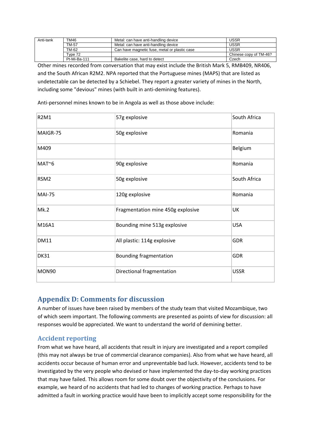| Anti-tank | TM46         | Metal: can have anti-handling device          | USSR                   |
|-----------|--------------|-----------------------------------------------|------------------------|
|           | <b>TM-57</b> | Metal: can have anti-handling device          | USSR                   |
|           | TM-62        | Can have magnetic fuse, metal or plastic case | USSR                   |
|           | Type 72      |                                               | Chinese copy of TM-46? |
|           | Pt-Mi-Ba-111 | Bakelite case, hard to detect                 | Czech                  |

Other mines recorded from conversation that may exist include the British Mark 5, RMB409, NR406, and the South African R2M2. NPA reported that the Portuguese mines (MAPS) that are listed as undetectable can be detected by a Schiebel. They report a greater variety of mines in the North, including some "devious" mines (with built in anti-demining features).

Anti-personnel mines known to be in Angola as well as those above include:

| <b>R2M1</b>      | 57g explosive                     | South Africa |
|------------------|-----------------------------------|--------------|
| MAIGR-75         | 50g explosive                     | Romania      |
| M409             |                                   | Belgium      |
| MAT~6            | 90g explosive                     | Romania      |
| RSM <sub>2</sub> | 50g explosive                     | South Africa |
| <b>MAI-75</b>    | 120g explosive                    | Romania      |
| Mk.2             | Fragmentation mine 450g explosive | UK           |
| M16A1            | Bounding mine 513g explosive      | <b>USA</b>   |
| <b>DM11</b>      | All plastic: 114g explosive       | <b>GDR</b>   |
| <b>DK31</b>      | <b>Bounding fragmentation</b>     | <b>GDR</b>   |
| <b>MON90</b>     | Directional fragmentation         | <b>USSR</b>  |

### **Appendix D: Comments for discussion**

A number of issues have been raised by members of the study team that visited Mozambique, two of which seem important. The following comments are presented as points of view for discussion: all responses would be appreciated. We want to understand the world of demining better.

### **Accident reporting**

From what we have heard, all accidents that result in injury are investigated and a report compiled (this may not always be true of commercial clearance companies). Also from what we have heard, all accidents occur because of human error and unpreventable bad luck. However, accidents tend to be investigated by the very people who devised or have implemented the day-to-day working practices that may have failed. This allows room for some doubt over the objectivity of the conclusions. For example, we heard of no accidents that had led to changes of working practice. Perhaps to have admitted a fault in working practice would have been to implicitly accept some responsibility for the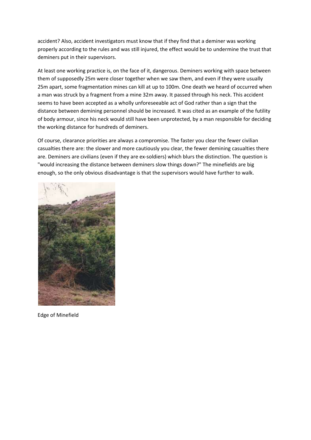accident? Also, accident investigators must know that if they find that a deminer was working properly according to the rules and was still injured, the effect would be to undermine the trust that deminers put in their supervisors.

At least one working practice is, on the face of it, dangerous. Deminers working with space between them of supposedly 25m were closer together when we saw them, and even if they were usually 25m apart, some fragmentation mines can kill at up to 100m. One death we heard of occurred when a man was struck by a fragment from a mine 32m away. It passed through his neck. This accident seems to have been accepted as a wholly unforeseeable act of God rather than a sign that the distance between demining personnel should be increased. It was cited as an example of the futility of body armour, since his neck would still have been unprotected, by a man responsible for deciding the working distance for hundreds of deminers.

Of course, clearance priorities are always a compromise. The faster you clear the fewer civilian casualties there are: the slower and more cautiously you clear, the fewer demining casualties there are. Deminers are civilians (even if they are ex-soldiers) which blurs the distinction. The question is "would increasing the distance between deminers slow things down?" The minefields are big enough, so the only obvious disadvantage is that the supervisors would have further to walk.



Edge of Minefield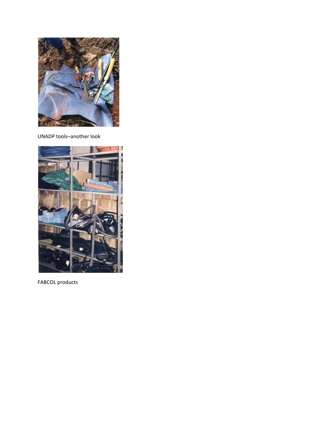

UNADP tools–another look



FABCOL products